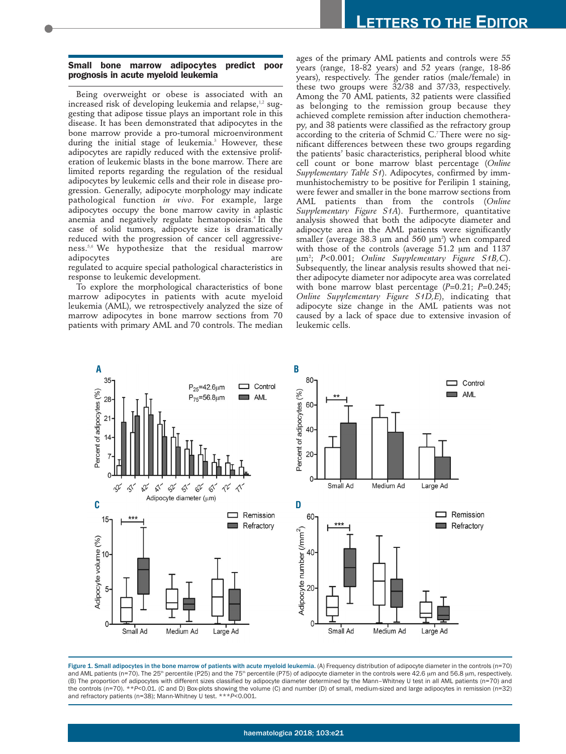## **Small bone marrow adipocytes predict poor prognosis in acute myeloid leukemia**

Being overweight or obese is associated with an increased risk of developing leukemia and relapse, $^{1,2}$  suggesting that adipose tissue plays an important role in this disease. It has been demonstrated that adipocytes in the bone marrow provide a pro-tumoral microenvironment during the initial stage of leukemia.<sup>3</sup> However, these adipocytes are rapidly reduced with the extensive proliferation of leukemic blasts in the bone marrow. There are limited reports regarding the regulation of the residual adipocytes by leukemic cells and their role in disease progression. Generally, adipocyte morphology may indicate pathological function *in vivo*. For example, large adipocytes occupy the bone marrow cavity in aplastic anemia and negatively regulate hematopoiesis. <sup>4</sup>In the case of solid tumors, adipocyte size is dramatically reduced with the progression of cancer cell aggressiveness.5,6 We hypothesize that the residual marrow adipocytes are are all a set of the same states are are all a set of the same states are are all  $\alpha$ 

regulated to acquire special pathological characteristics in response to leukemic development.

To explore the morphological characteristics of bone marrow adipocytes in patients with acute myeloid leukemia (AML), we retrospectively analyzed the size of marrow adipocytes in bone marrow sections from 70 patients with primary AML and 70 controls. The median

ages of the primary AML patients and controls were 55 years (range, 18-82 years) and 52 years (range, 18-86 years), respectively. The gender ratios (male/female) in these two groups were 32/38 and 37/33, respectively. Among the 70 AML patients, 32 patients were classified as belonging to the remission group because they achieved complete remission after induction chemotherapy, and 38 patients were classified as the refractory group according to the criteria of Schmid C.7 There were no significant differences between these two groups regarding the patients' basic characteristics, peripheral blood white cell count or bone marrow blast percentage (*Online Supplementary Table S1*). Adipocytes, confirmed by immmunhistochemistry to be positive for Perilipin 1 staining, were fewer and smaller in the bone marrow sections from AML patients than from the controls (*Online Supplementary Figure S1A*). Furthermore, quantitative analysis showed that both the adipocyte diameter and adipocyte area in the AML patients were significantly smaller (average 38.3  $\mu$ m and 560  $\mu$ m<sup>2</sup>) when compared with those of the controls (average  $51.2 \mu m$  and  $1137$ mm2 ; *P*<0.001; *Online Supplementary Figure S1B,C*). Subsequently, the linear analysis results showed that neither adipocyte diameter nor adipocyte area was correlated with bone marrow blast percentage (*P*=0.21; *P*=0.245; *Online Supplementary Figure S1D,E*), indicating that adipocyte size change in the AML patients was not caused by a lack of space due to extensive invasion of leukemic cells.



Figure 1. Small adipocytes in the bone marrow of patients with acute myeloid leukemia. (A) Frequency distribution of adipocyte diameter in the controls (n=70) and AML patients (n=70). The 25<sup>th</sup> percentile (P25) and the 75<sup>th</sup> percentile (P75) of adipocyte diameter in the controls were 42.6 µm and 56.8 µm, respectively. (B) The proportion of adipocytes with different sizes classified by adipocyte diameter determined by the Mann–Whitney U test in all AML patients (n=70) and the controls (n=70). \*\**P*<0.01. (C and D) Box-plots showing the volume (C) and number (D) of small, medium-sized and large adipocytes in remission (n=32) and refractory patients (n=38); Mann-Whitney U test. \*\*\**P*<0.001.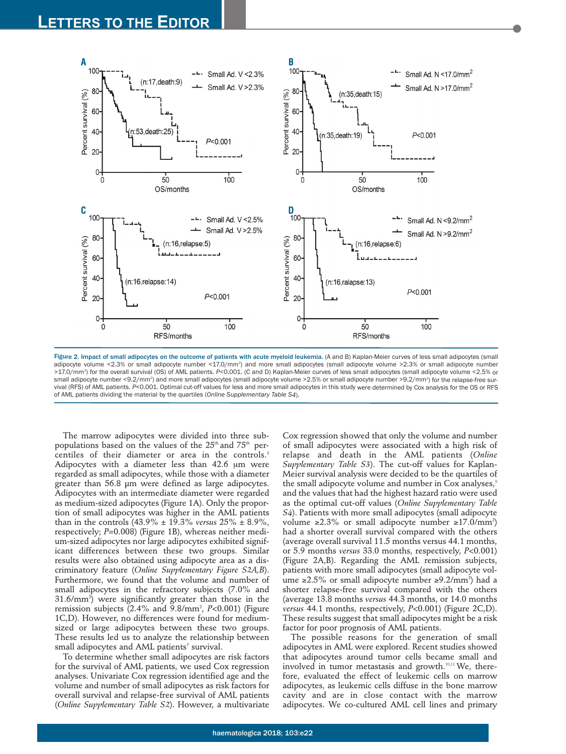

Figure 2. Impact of small adipocytes on the outcome of patients with acute myeloid leukemia. (A and B) Kaplan-Meier curves of less small adipocytes (small adipocyte volume <2.3% or small adipocyte number <17.0/mm<sup>2</sup>) and more small adipocytes (small adipocyte volume >2.3% or small adipocyte number >17.0/mm<sup>2</sup>) for the overall survival (OS) of AML patients. *P<*0.001. (C and D) Kaplan-Meier curves of less small adipocytes (small adipocyte volume <2.5% or small adipocyte number <9.2/mm²) and more small adipocytes (small adipocyte volume >2.5% or small adipocyte number >9.2/mm²) for the relapse-free sur vival (RFS) of AML patients. *P*<0.001. Optimal cut-off values for less and more small adipocytes in this study were determined by Cox analysis for the OS or RFS of AML patients dividing the material by the quartiles (*Online Supplementary Table S4*).

The marrow adipocytes were divided into three subpopulations based on the values of the  $25<sup>th</sup>$  and  $75<sup>th</sup>$  percentiles of their diameter or area in the controls.<sup>8</sup> Adipocytes with a diameter less than  $42.6 \mu m$  were regarded as small adipocytes, while those with a diameter greater than 56.8 µm were defined as large adipocytes. Adipocytes with an intermediate diameter were regarded as medium-sized adipocytes (Figure 1A). Only the proportion of small adipocytes was higher in the AML patients than in the controls (43.9% ± 19.3% *versus* 25% ± 8.9%, respectively; *P*=0.008) (Figure 1B), whereas neither medium-sized adipocytes nor large adipocytes exhibited significant differences between these two groups. Similar results were also obtained using adipocyte area as a discriminatory feature (*Online Supplementary Figure S2A,B*). Furthermore, we found that the volume and number of small adipocytes in the refractory subjects (7.0% and 31.6/mm2 ) were significantly greater than those in the remission subjects (2.4% and 9.8/mm2 , *P*<0.001) (Figure 1C,D). However, no differences were found for mediumsized or large adipocytes between these two groups. These results led us to analyze the relationship between small adipocytes and AML patients' survival.

To determine whether small adipocytes are risk factors for the survival of AML patients, we used Cox regression analyses. Univariate Cox regression identified age and the volume and number of small adipocytes as risk factors for overall survival and relapse-free survival of AML patients (*Online Supplementary Table S2*). However, a multivariate

Cox regression showed that only the volume and number of small adipocytes were associated with a high risk of relapse and death in the AML patients (*Online Supplementary Table S3*). The cut-off values for Kaplan-Meier survival analysis were decided to be the quartiles of the small adipocyte volume and number in Cox analyses,<sup>9</sup> and the values that had the highest hazard ratio were used as the optimal cut-off values (*Online Supplementary Table S4*). Patients with more small adipocytes (small adipocyte volume ≥2.3% or small adipocyte number ≥17.0/mm²) had a shorter overall survival compared with the others (average overall survival 11.5 months versus 44.1 months, or 5.9 months *versus* 33.0 months, respectively, *P*<0.001) (Figure 2A,B). Regarding the AML remission subjects, patients with more small adipocytes (small adipocyte volume ≥2.5% or small adipocyte number ≥9.2/mm<sup>2</sup>) had a shorter relapse-free survival compared with the others (average 13.8 months *versus* 44.3 months, or 14.0 months *versus* 44.1 months, respectively, *P*<0.001) (Figure 2C,D). These results suggest that small adipocytes might be a risk factor for poor prognosis of AML patients.

The possible reasons for the generation of small adipocytes in AML were explored. Recent studies showed that adipocytes around tumor cells became small and involved in tumor metastasis and growth.<sup>10,11</sup> We, therefore, evaluated the effect of leukemic cells on marrow adipocytes, as leukemic cells diffuse in the bone marrow cavity and are in close contact with the marrow adipocytes. We co-cultured AML cell lines and primary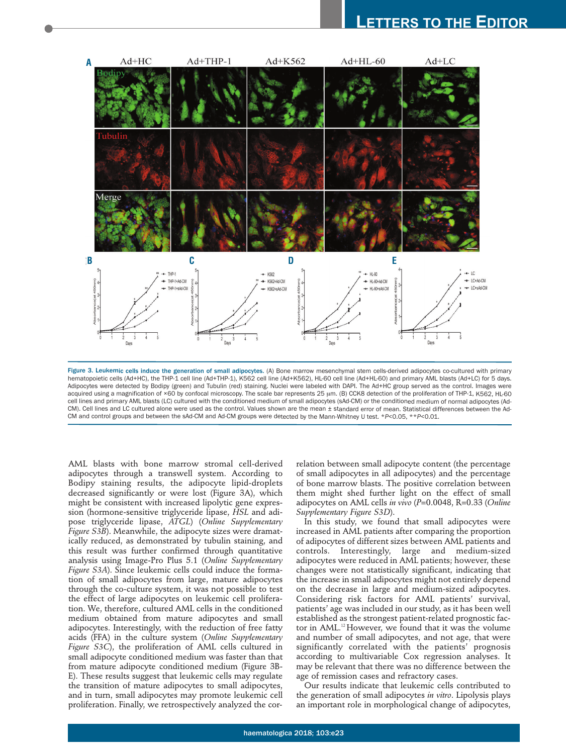## **LETTERS TO THE EDITOR**



Figure 3. Leukemic cells induce the generation of small adipocytes. (A) Bone marrow mesenchymal stem cells-derived adipocytes co-cultured with primary hematopoietic cells (Ad+HC), the THP-1 cell line (Ad+THP-1), K562 cell line (Ad+K562), HL-60 cell line (Ad+HL-60) and primary AML blasts (Ad+LC) for 5 days. Adipocytes were detected by Bodipy (green) and Tubulin (red) staining. Nuclei were labeled with DAPI. The Ad+HC group served as the control. Images were acquired using a magnification of ×60 by confocal microscopy. The scale bar represents 25 µm. (B) CCK8 detection of the proliferation of THP-1, K562, HL-60 cell lines and primary AML blasts (LC) cultured with the conditioned medium of small adipocytes (sAd-CM) or the conditioned medium of normal adipocytes (Ad-CM). Cell lines and LC cultured alone were used as the control. Values shown are the mean ± standard error of mean. Statistical differences between the Ad-CM and control groups and between the sAd-CM and Ad-CM groups were detected by the Mann-Whitney U test. \**P*<0.05, \*\**P*<0.01.

AML blasts with bone marrow stromal cell-derived adipocytes through a transwell system. According to Bodipy staining results, the adipocyte lipid-droplets decreased significantly or were lost (Figure 3A), which might be consistent with increased lipolytic gene expression (hormone-sensitive triglyceride lipase, *HSL* and adipose triglyceride lipase, *ATGL*) (*Online Supplementary Figure S3B*). Meanwhile, the adipocyte sizes were dramatically reduced, as demonstrated by tubulin staining, and this result was further confirmed through quantitative analysis using Image-Pro Plus 5.1 (*Online Supplementary Figure S3A*). Since leukemic cells could induce the formation of small adipocytes from large, mature adipocytes through the co-culture system, it was not possible to test the effect of large adipocytes on leukemic cell proliferation. We, therefore, cultured AML cells in the conditioned medium obtained from mature adipocytes and small adipocytes. Interestingly, with the reduction of free fatty acids (FFA) in the culture system (*Online Supplementary Figure S3C*), the proliferation of AML cells cultured in small adipocyte conditioned medium was faster than that from mature adipocyte conditioned medium (Figure 3B-E). These results suggest that leukemic cells may regulate the transition of mature adipocytes to small adipocytes, and in turn, small adipocytes may promote leukemic cell proliferation. Finally, we retrospectively analyzed the correlation between small adipocyte content (the percentage of small adipocytes in all adipocytes) and the percentage of bone marrow blasts. The positive correlation between them might shed further light on the effect of small adipocytes on AML cells *in vivo* (*P*=0.0048, R=0.33 (*Online Supplementary Figure S3D*).

In this study, we found that small adipocytes were increased in AML patients after comparing the proportion of adipocytes of different sizes between AML patients and controls. Interestingly, large and medium-sized adipocytes were reduced in AML patients; however, these changes were not statistically significant, indicating that the increase in small adipocytes might not entirely depend on the decrease in large and medium-sized adipocytes. Considering risk factors for AML patients' survival, patients' age was included in our study, as it has been well established as the strongest patient-related prognostic factor in AML.<sup>12</sup>However, we found that it was the volume and number of small adipocytes, and not age, that were significantly correlated with the patients' prognosis according to multivariable Cox regression analyses. It may be relevant that there was no difference between the age of remission cases and refractory cases.

Our results indicate that leukemic cells contributed to the generation of small adipocytes *in vitro*. Lipolysis plays an important role in morphological change of adipocytes,